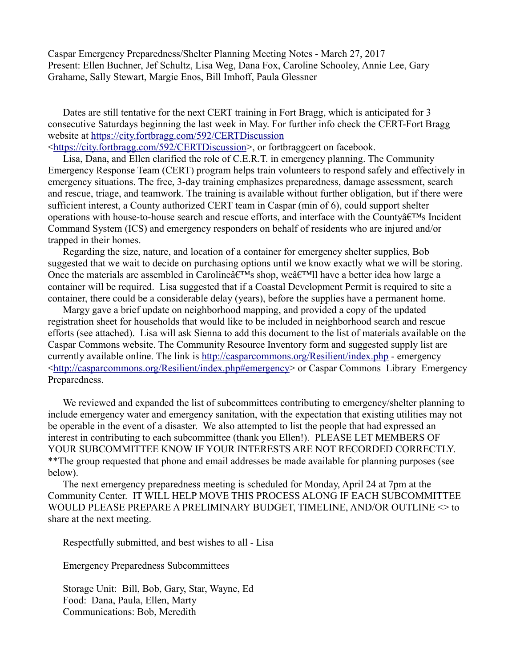Caspar Emergency Preparedness/Shelter Planning Meeting Notes - March 27, 2017 Present: Ellen Buchner, Jef Schultz, Lisa Weg, Dana Fox, Caroline Schooley, Annie Lee, Gary Grahame, Sally Stewart, Margie Enos, Bill Imhoff, Paula Glessner

Dates are still tentative for the next CERT training in Fort Bragg, which is anticipated for 3 consecutive Saturdays beginning the last week in May. For further info check the CERT-Fort Bragg website at<https://city.fortbragg.com/592/CERTDiscussion>

[<https://city.fortbragg.com/592/CERTDiscussion>](https://city.fortbragg.com/592/CERTDiscussion), or fortbraggcert on facebook.

Lisa, Dana, and Ellen clarified the role of C.E.R.T. in emergency planning. The Community Emergency Response Team (CERT) program helps train volunteers to respond safely and effectively in emergency situations. The free, 3-day training emphasizes preparedness, damage assessment, search and rescue, triage, and teamwork. The training is available without further obligation, but if there were sufficient interest, a County authorized CERT team in Caspar (min of 6), could support shelter operations with house-to-house search and rescue efforts, and interface with the County $\hat{a}\in$ <sup>TM</sup>s Incident Command System (ICS) and emergency responders on behalf of residents who are injured and/or trapped in their homes.

Regarding the size, nature, and location of a container for emergency shelter supplies, Bob suggested that we wait to decide on purchasing options until we know exactly what we will be storing. Once the materials are assembled in Caroline $\hat{a} \in T^{M}$ s shop, we $\hat{a} \in T^{M}$ ll have a better idea how large a container will be required. Lisa suggested that if a Coastal Development Permit is required to site a container, there could be a considerable delay (years), before the supplies have a permanent home.

Margy gave a brief update on neighborhood mapping, and provided a copy of the updated registration sheet for households that would like to be included in neighborhood search and rescue efforts (see attached). Lisa will ask Sienna to add this document to the list of materials available on the Caspar Commons website. The Community Resource Inventory form and suggested supply list are currently available online. The link is<http://casparcommons.org/Resilient/index.php>- emergency [<http://casparcommons.org/Resilient/index.php#emergency>](http://casparcommons.org/Resilient/index.php#emergency) or Caspar Commons Library Emergency Preparedness.

We reviewed and expanded the list of subcommittees contributing to emergency/shelter planning to include emergency water and emergency sanitation, with the expectation that existing utilities may not be operable in the event of a disaster. We also attempted to list the people that had expressed an interest in contributing to each subcommittee (thank you Ellen!). PLEASE LET MEMBERS OF YOUR SUBCOMMITTEE KNOW IF YOUR INTERESTS ARE NOT RECORDED CORRECTLY. \*\*The group requested that phone and email addresses be made available for planning purposes (see below).

The next emergency preparedness meeting is scheduled for Monday, April 24 at 7pm at the Community Center. IT WILL HELP MOVE THIS PROCESS ALONG IF EACH SUBCOMMITTEE WOULD PLEASE PREPARE A PRELIMINARY BUDGET, TIMELINE, AND/OR OUTLINE  $\leq$  to share at the next meeting.

Respectfully submitted, and best wishes to all - Lisa

Emergency Preparedness Subcommittees

Storage Unit: Bill, Bob, Gary, Star, Wayne, Ed Food: Dana, Paula, Ellen, Marty Communications: Bob, Meredith